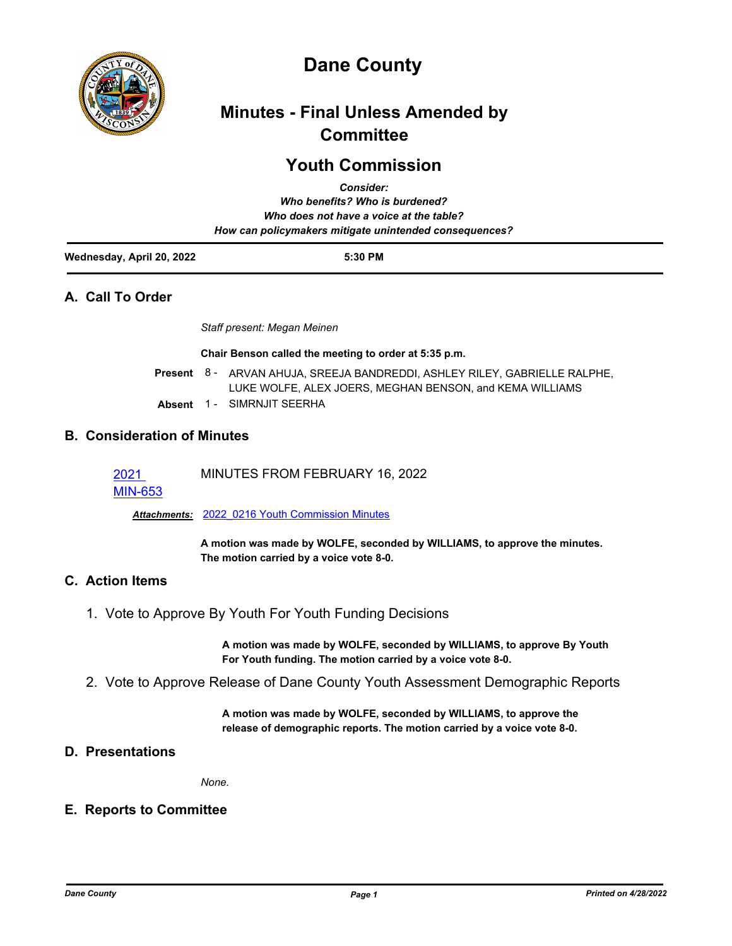

# **Dane County**

## **Minutes - Final Unless Amended by Committee**

## **Youth Commission**

|                           | <b>Consider:</b>                                       |  |
|---------------------------|--------------------------------------------------------|--|
|                           | Who benefits? Who is burdened?                         |  |
|                           | Who does not have a voice at the table?                |  |
|                           | How can policymakers mitigate unintended consequences? |  |
| Wednesday, April 20, 2022 | 5:30 PM                                                |  |

## **A. Call To Order**

*Staff present: Megan Meinen*

**Chair Benson called the meeting to order at 5:35 p.m.**

- Present 8 ARVAN AHUJA, SREEJA BANDREDDI, ASHLEY RILEY, GABRIELLE RALPHE, LUKE WOLFE, ALEX JOERS, MEGHAN BENSON, and KEMA WILLIAMS
- **Absent** 1 SIMRNJIT SEERHA

## **B. Consideration of Minutes**

2021 MINUTES FROM FEBRUARY 16, 2022

MIN-653

*Attachments:* 2022\_0216 Youth Commission Minutes

**A motion was made by WOLFE, seconded by WILLIAMS, to approve the minutes. The motion carried by a voice vote 8-0.**

## **C. Action Items**

1. Vote to Approve By Youth For Youth Funding Decisions

**A motion was made by WOLFE, seconded by WILLIAMS, to approve By Youth For Youth funding. The motion carried by a voice vote 8-0.**

2. Vote to Approve Release of Dane County Youth Assessment Demographic Reports

**A motion was made by WOLFE, seconded by WILLIAMS, to approve the release of demographic reports. The motion carried by a voice vote 8-0.**

## **D. Presentations**

*None.*

## **E. Reports to Committee**